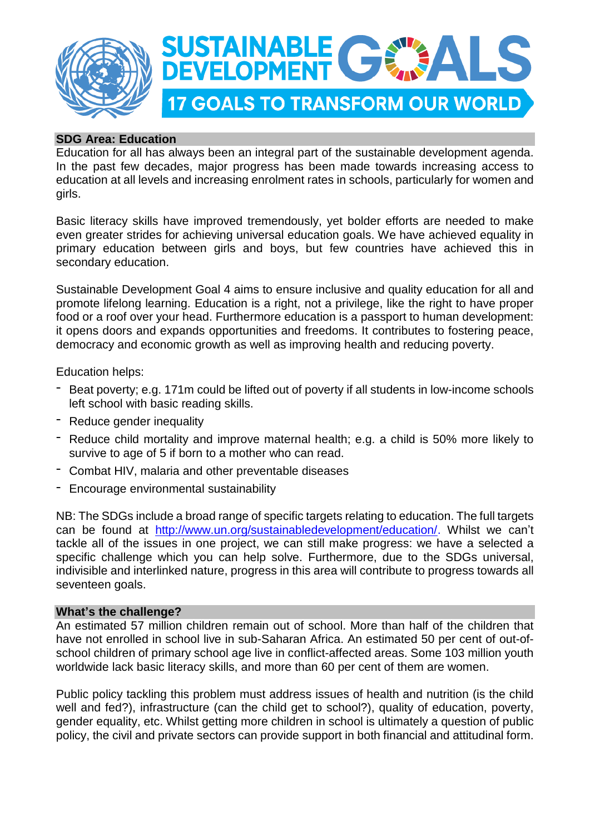

# **SDG Area: Education**

Education for all has always been an integral part of the sustainable development agenda. In the past few decades, major progress has been made towards increasing access to education at all levels and increasing enrolment rates in schools, particularly for women and girls.

Basic literacy skills have improved tremendously, yet bolder efforts are needed to make even greater strides for achieving universal education goals. We have achieved equality in primary education between girls and boys, but few countries have achieved this in secondary education.

Sustainable Development Goal 4 aims to ensure inclusive and quality education for all and promote lifelong learning. Education is a right, not a privilege, like the right to have proper food or a roof over your head. Furthermore education is a passport to human development: it opens doors and expands opportunities and freedoms. It contributes to fostering peace, democracy and economic growth as well as improving health and reducing poverty.

Education helps:

- Beat poverty; e.g. 171m could be lifted out of poverty if all students in low-income schools left school with basic reading skills.
- Reduce gender inequality
- Reduce child mortality and improve maternal health; e.g. a child is 50% more likely to survive to age of 5 if born to a mother who can read.
- Combat HIV, malaria and other preventable diseases
- Encourage environmental sustainability

NB: The SDGs include a broad range of specific targets relating to education. The full targets can be found at [http://www.un.org/sustainabledevelopment/education/.](http://www.un.org/sustainabledevelopment/education/) Whilst we can't tackle all of the issues in one project, we can still make progress: we have a selected a specific challenge which you can help solve. Furthermore, due to the SDGs universal, indivisible and interlinked nature, progress in this area will contribute to progress towards all seventeen goals.

### **What's the challenge?**

An estimated 57 million children remain out of school. More than half of the children that have not enrolled in school live in sub-Saharan Africa. An estimated 50 per cent of out-ofschool children of primary school age live in conflict-affected areas. Some 103 million youth worldwide lack basic literacy skills, and more than 60 per cent of them are women.

Public policy tackling this problem must address issues of health and nutrition (is the child well and fed?), infrastructure (can the child get to school?), quality of education, poverty, gender equality, etc. Whilst getting more children in school is ultimately a question of public policy, the civil and private sectors can provide support in both financial and attitudinal form.